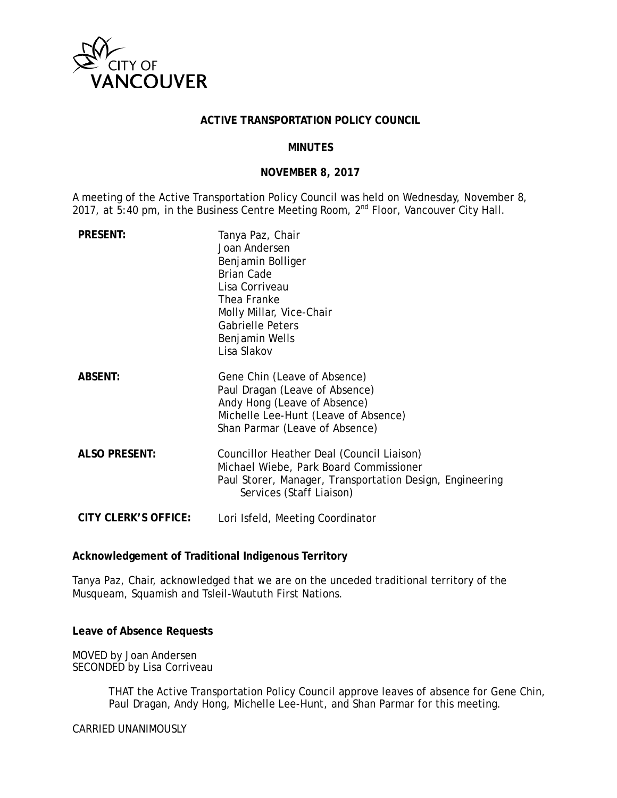

### **ACTIVE TRANSPORTATION POLICY COUNCIL**

### **MINUTES**

### **NOVEMBER 8, 2017**

A meeting of the Active Transportation Policy Council was held on Wednesday, November 8, 2017, at 5:40 pm, in the Business Centre Meeting Room, 2<sup>nd</sup> Floor, Vancouver City Hall.

| <b>PRESENT:</b>             | Tanya Paz, Chair<br>Joan Andersen<br>Benjamin Bolliger<br><b>Brian Cade</b><br>Lisa Corriveau<br>Thea Franke<br>Molly Millar, Vice-Chair<br>Gabrielle Peters<br>Benjamin Wells<br>Lisa Slakov |
|-----------------------------|-----------------------------------------------------------------------------------------------------------------------------------------------------------------------------------------------|
| <b>ABSENT:</b>              | Gene Chin (Leave of Absence)<br>Paul Dragan (Leave of Absence)<br>Andy Hong (Leave of Absence)<br>Michelle Lee-Hunt (Leave of Absence)<br>Shan Parmar (Leave of Absence)                      |
| <b>ALSO PRESENT:</b>        | Councillor Heather Deal (Council Liaison)<br>Michael Wiebe, Park Board Commissioner<br>Paul Storer, Manager, Transportation Design, Engineering<br>Services (Staff Liaison)                   |
| <b>CITY CLERK'S OFFICE:</b> | Lori Isfeld, Meeting Coordinator                                                                                                                                                              |

#### **Acknowledgement of Traditional Indigenous Territory**

Tanya Paz, Chair, acknowledged that we are on the unceded traditional territory of the Musqueam, Squamish and Tsleil-Waututh First Nations.

#### **Leave of Absence Requests**

MOVED by Joan Andersen SECONDED by Lisa Corriveau

> THAT the Active Transportation Policy Council approve leaves of absence for Gene Chin, Paul Dragan, Andy Hong, Michelle Lee-Hunt, and Shan Parmar for this meeting.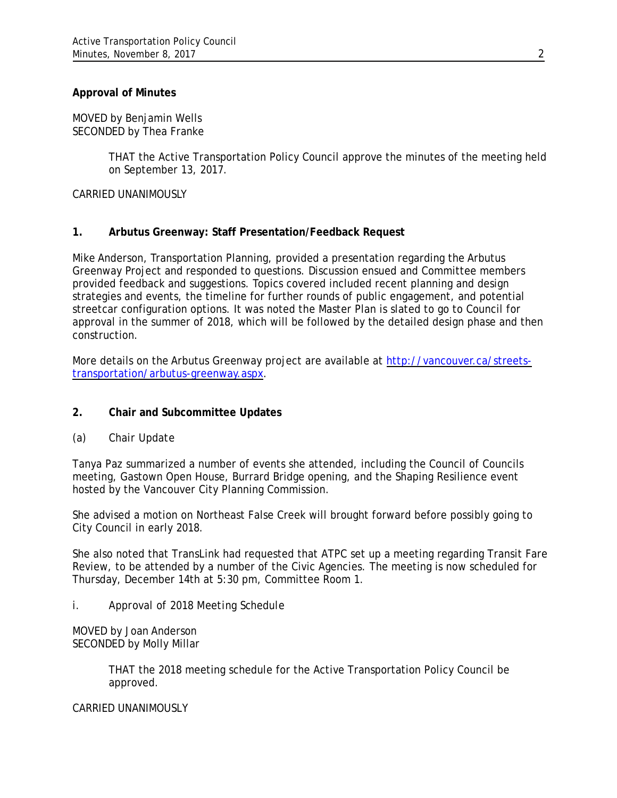# **Approval of Minutes**

MOVED by Benjamin Wells SECONDED by Thea Franke

> THAT the Active Transportation Policy Council approve the minutes of the meeting held on September 13, 2017.

CARRIED UNANIMOUSLY

# **1. Arbutus Greenway: Staff Presentation/Feedback Request**

Mike Anderson, Transportation Planning, provided a presentation regarding the Arbutus Greenway Project and responded to questions. Discussion ensued and Committee members provided feedback and suggestions. Topics covered included recent planning and design strategies and events, the timeline for further rounds of public engagement, and potential streetcar configuration options. It was noted the Master Plan is slated to go to Council for approval in the summer of 2018, which will be followed by the detailed design phase and then construction.

More details on the Arbutus Greenway project are available at [http://vancouver.ca/streets](http://vancouver.ca/streets-transportation/arbutus-greenway.aspx)[transportation/arbutus-greenway.aspx.](http://vancouver.ca/streets-transportation/arbutus-greenway.aspx)

# **2. Chair and Subcommittee Updates**

# *(a) Chair Update*

Tanya Paz summarized a number of events she attended, including the Council of Councils meeting, Gastown Open House, Burrard Bridge opening, and the Shaping Resilience event hosted by the Vancouver City Planning Commission.

She advised a motion on Northeast False Creek will brought forward before possibly going to City Council in early 2018.

She also noted that TransLink had requested that ATPC set up a meeting regarding Transit Fare Review, to be attended by a number of the Civic Agencies. The meeting is now scheduled for Thursday, December 14th at 5:30 pm, Committee Room 1.

*i. Approval of 2018 Meeting Schedule*

MOVED by Joan Anderson SECONDED by Molly Millar

> THAT the 2018 meeting schedule for the Active Transportation Policy Council be approved.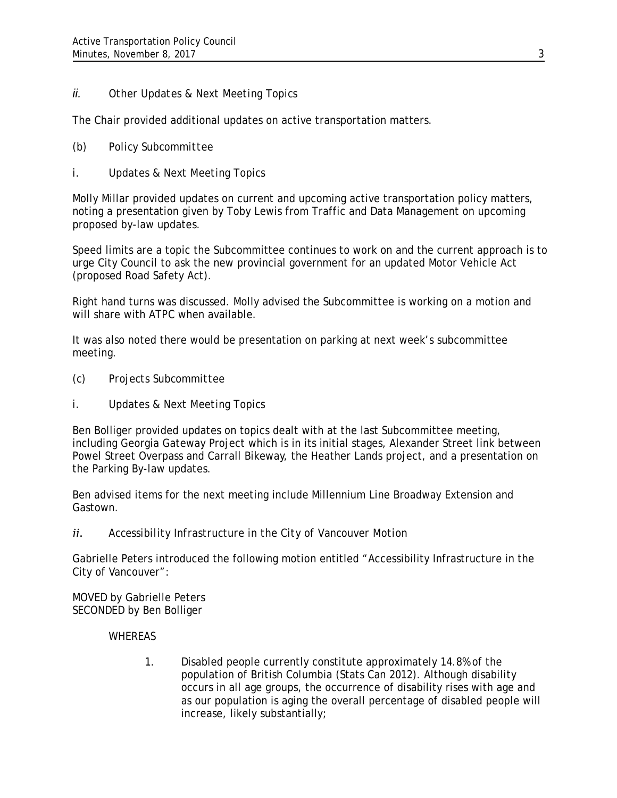# *ii. Other Updates & Next Meeting Topics*

The Chair provided additional updates on active transportation matters.

- *(b) Policy Subcommittee*
- *i. Updates & Next Meeting Topics*

Molly Millar provided updates on current and upcoming active transportation policy matters, noting a presentation given by Toby Lewis from Traffic and Data Management on upcoming proposed by-law updates.

Speed limits are a topic the Subcommittee continues to work on and the current approach is to urge City Council to ask the new provincial government for an updated Motor Vehicle Act (proposed Road Safety Act).

Right hand turns was discussed. Molly advised the Subcommittee is working on a motion and will share with ATPC when available.

It was also noted there would be presentation on parking at next week's subcommittee meeting.

- *(c) Projects Subcommittee*
- *i. Updates & Next Meeting Topics*

Ben Bolliger provided updates on topics dealt with at the last Subcommittee meeting, including Georgia Gateway Project which is in its initial stages, Alexander Street link between Powel Street Overpass and Carrall Bikeway, the Heather Lands project, and a presentation on the Parking By-law updates.

Ben advised items for the next meeting include Millennium Line Broadway Extension and Gastown.

*ii. Accessibility Infrastructure in the City of Vancouver Motion*

Gabrielle Peters introduced the following motion entitled "Accessibility Infrastructure in the City of Vancouver":

MOVED by Gabrielle Peters SECONDED by Ben Bolliger

# WHEREAS

1. Disabled people currently constitute approximately 14.8% of the population of British Columbia (Stats Can 2012). Although disability occurs in all age groups, the occurrence of disability rises with age and as our population is aging the overall percentage of disabled people will increase, likely substantially;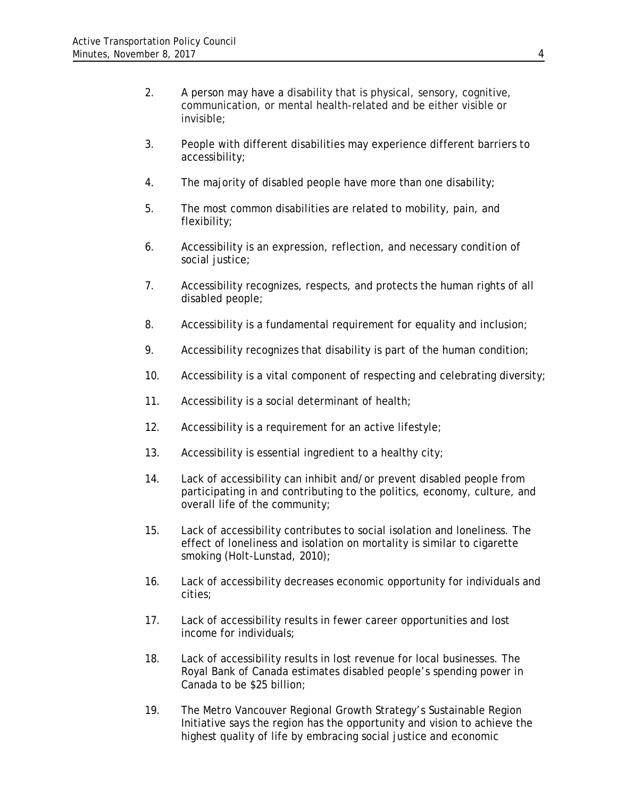- 2. A person may have a disability that is physical, sensory, cognitive, communication, or mental health-related and be either visible or invisible;
- 3. People with different disabilities may experience different barriers to accessibility;
- 4. The majority of disabled people have more than one disability;
- 5. The most common disabilities are related to mobility, pain, and flexibility;
- 6. Accessibility is an expression, reflection, and necessary condition of social justice;
- 7. Accessibility recognizes, respects, and protects the human rights of all disabled people;
- 8. Accessibility is a fundamental requirement for equality and inclusion;
- 9. Accessibility recognizes that disability is part of the human condition;
- 10. Accessibility is a vital component of respecting and celebrating diversity;
- 11. Accessibility is a social determinant of health;
- 12. Accessibility is a requirement for an active lifestyle;
- 13. Accessibility is essential ingredient to a healthy city;
- 14. Lack of accessibility can inhibit and/or prevent disabled people from participating in and contributing to the politics, economy, culture, and overall life of the community;
- 15. Lack of accessibility contributes to social isolation and loneliness. The effect of loneliness and isolation on mortality is similar to cigarette smoking (Holt-Lunstad, 2010);
- 16. Lack of accessibility decreases economic opportunity for individuals and cities;
- 17. Lack of accessibility results in fewer career opportunities and lost income for individuals;
- 18. Lack of accessibility results in lost revenue for local businesses. The Royal Bank of Canada estimates disabled people's spending power in Canada to be \$25 billion;
- 19. The Metro Vancouver Regional Growth Strategy's Sustainable Region Initiative says the region has the opportunity and vision to achieve the highest quality of life by embracing social justice and economic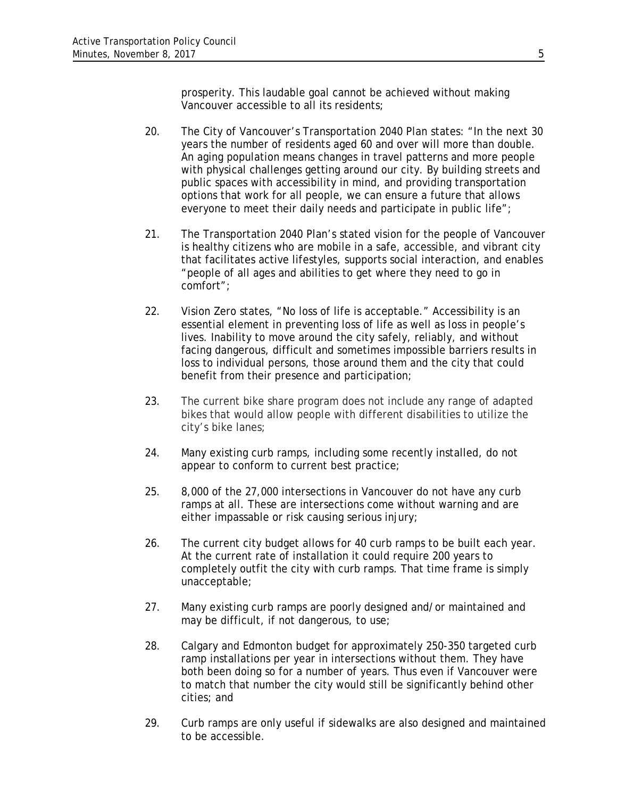prosperity. This laudable goal cannot be achieved without making Vancouver accessible to all its residents;

- 20. The City of Vancouver's Transportation 2040 Plan states: "In the next 30 years the number of residents aged 60 and over will more than double. An aging population means changes in travel patterns and more people with physical challenges getting around our city. By building streets and public spaces with accessibility in mind, and providing transportation options that work for all people, we can ensure a future that allows everyone to meet their daily needs and participate in public life";
- 21. The Transportation 2040 Plan's stated vision for the people of Vancouver is healthy citizens who are mobile in a safe, accessible, and vibrant city that facilitates active lifestyles, supports social interaction, and enables "people of all ages and abilities to get where they need to go in comfort";
- 22. Vision Zero states, "No loss of life is acceptable." Accessibility is an essential element in preventing loss of life as well as loss *in* people's lives. Inability to move around the city safely, reliably, and without facing dangerous, difficult and sometimes impossible barriers results in loss to individual persons, those around them and the city that could benefit from their presence and participation;
- 23. The current bike share program does not include any range of adapted bikes that would allow people with different disabilities to utilize the city's bike lanes;
- 24. Many existing curb ramps, including some recently installed, do not appear to conform to current best practice;
- 25. 8,000 of the 27,000 intersections in Vancouver do not have any curb ramps at all. These are intersections come without warning and are either impassable or risk causing serious injury;
- 26. The current city budget allows for 40 curb ramps to be built each year. At the current rate of installation it could require 200 years to completely outfit the city with curb ramps. That time frame is simply unacceptable;
- 27. Many existing curb ramps are poorly designed and/or maintained and may be difficult, if not dangerous, to use;
- 28. Calgary and Edmonton budget for approximately 250-350 targeted curb ramp installations per year in intersections without them. They have both been doing so for a number of years. Thus even if Vancouver were to match that number the city would still be significantly behind other cities; and
- 29. Curb ramps are only useful if sidewalks are also designed and maintained to be accessible.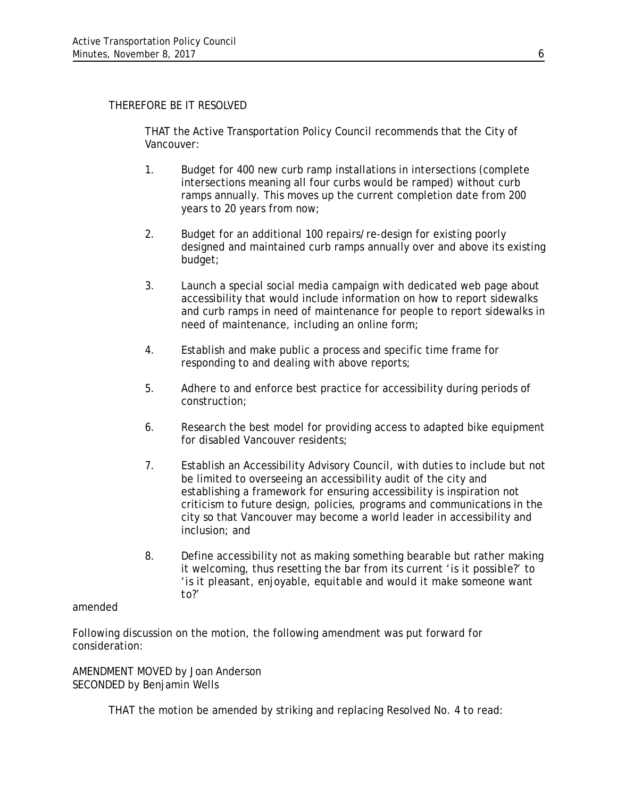# THEREFORE BE IT RESOLVED

THAT the Active Transportation Policy Council recommends that the City of Vancouver:

- 1. Budget for 400 new curb ramp installations in intersections (complete intersections meaning all four curbs would be ramped) without curb ramps annually. This moves up the current completion date from 200 years to 20 years from now;
- 2. Budget for an additional 100 repairs/re-design for existing poorly designed and maintained curb ramps annually over and above its existing budget;
- 3. Launch a special social media campaign with dedicated web page about accessibility that would include information on how to report sidewalks and curb ramps in need of maintenance for people to report sidewalks in need of maintenance, including an online form;
- 4. Establish and make public a process and specific time frame for responding to and dealing with above reports;
- 5. Adhere to and enforce best practice for accessibility during periods of construction;
- 6. Research the best model for providing access to adapted bike equipment for disabled Vancouver residents;
- 7. Establish an Accessibility Advisory Council, with duties to include but not be limited to overseeing an accessibility audit of the city and establishing a framework for ensuring accessibility is inspiration not criticism to future design, policies, programs and communications in the city so that Vancouver may become a world leader in accessibility and inclusion; and
- 8. Define accessibility not as making something bearable but rather making it welcoming, thus resetting the bar from its current '*is it possible?'* to '*is it pleasant, enjoyable, equitable and would it make someone want to?*'

#### amended

Following discussion on the motion, the following amendment was put forward for consideration:

AMENDMENT MOVED by Joan Anderson SECONDED by Benjamin Wells

THAT the motion be amended by striking and replacing Resolved No. 4 to read: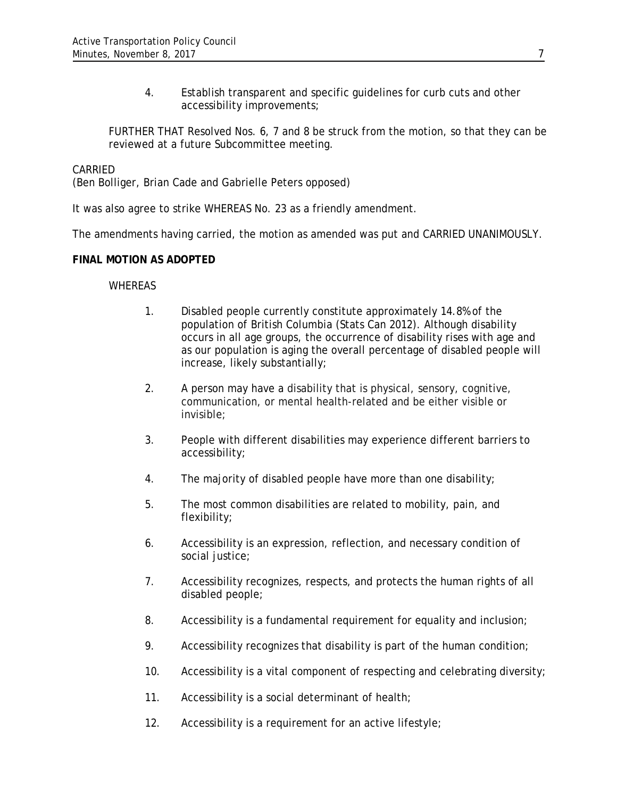4. Establish transparent and specific guidelines for curb cuts and other accessibility improvements;

FURTHER THAT Resolved Nos. 6, 7 and 8 be struck from the motion, so that they can be reviewed at a future Subcommittee meeting.

### CARRIED

(Ben Bolliger, Brian Cade and Gabrielle Peters opposed)

It was also agree to strike WHEREAS No. 23 as a friendly amendment.

The amendments having carried, the motion as amended was put and CARRIED UNANIMOUSLY.

#### **FINAL MOTION AS ADOPTED**

#### **WHEREAS**

- 1. Disabled people currently constitute approximately 14.8% of the population of British Columbia (Stats Can 2012). Although disability occurs in all age groups, the occurrence of disability rises with age and as our population is aging the overall percentage of disabled people will increase, likely substantially;
- 2. A person may have a disability that is physical, sensory, cognitive, communication, or mental health-related and be either visible or invisible;
- 3. People with different disabilities may experience different barriers to accessibility;
- 4. The majority of disabled people have more than one disability;
- 5. The most common disabilities are related to mobility, pain, and flexibility;
- 6. Accessibility is an expression, reflection, and necessary condition of social justice;
- 7. Accessibility recognizes, respects, and protects the human rights of all disabled people;
- 8. Accessibility is a fundamental requirement for equality and inclusion;
- 9. Accessibility recognizes that disability is part of the human condition;
- 10. Accessibility is a vital component of respecting and celebrating diversity;
- 11. Accessibility is a social determinant of health;
- 12. Accessibility is a requirement for an active lifestyle;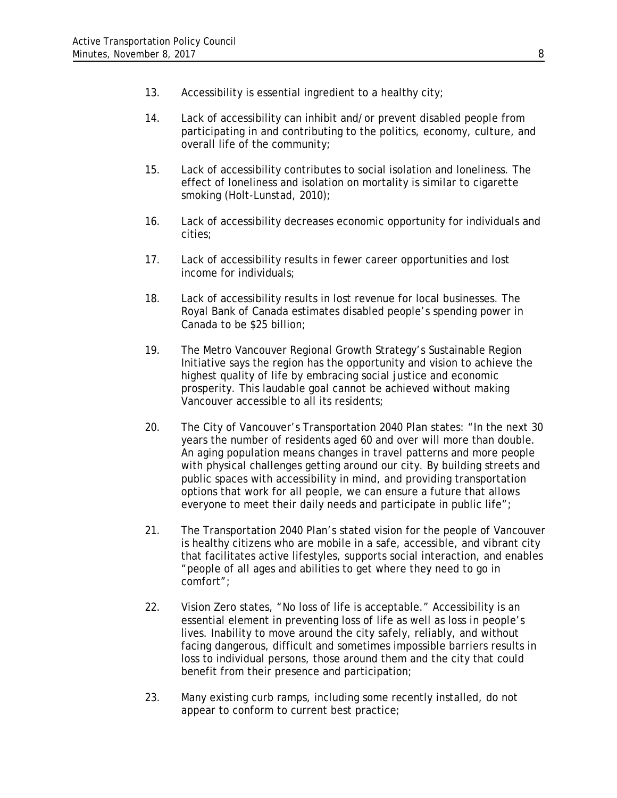- 13. Accessibility is essential ingredient to a healthy city;
- 14. Lack of accessibility can inhibit and/or prevent disabled people from participating in and contributing to the politics, economy, culture, and overall life of the community;
- 15. Lack of accessibility contributes to social isolation and loneliness. The effect of loneliness and isolation on mortality is similar to cigarette smoking (Holt-Lunstad, 2010);
- 16. Lack of accessibility decreases economic opportunity for individuals and cities;
- 17. Lack of accessibility results in fewer career opportunities and lost income for individuals;
- 18. Lack of accessibility results in lost revenue for local businesses. The Royal Bank of Canada estimates disabled people's spending power in Canada to be \$25 billion;
- 19. The Metro Vancouver Regional Growth Strategy's Sustainable Region Initiative says the region has the opportunity and vision to achieve the highest quality of life by embracing social justice and economic prosperity. This laudable goal cannot be achieved without making Vancouver accessible to all its residents;
- 20. The City of Vancouver's Transportation 2040 Plan states: "In the next 30 years the number of residents aged 60 and over will more than double. An aging population means changes in travel patterns and more people with physical challenges getting around our city. By building streets and public spaces with accessibility in mind, and providing transportation options that work for all people, we can ensure a future that allows everyone to meet their daily needs and participate in public life";
- 21. The Transportation 2040 Plan's stated vision for the people of Vancouver is healthy citizens who are mobile in a safe, accessible, and vibrant city that facilitates active lifestyles, supports social interaction, and enables "people of all ages and abilities to get where they need to go in comfort";
- 22. Vision Zero states, "No loss of life is acceptable." Accessibility is an essential element in preventing loss of life as well as loss *in* people's lives. Inability to move around the city safely, reliably, and without facing dangerous, difficult and sometimes impossible barriers results in loss to individual persons, those around them and the city that could benefit from their presence and participation;
- 23. Many existing curb ramps, including some recently installed, do not appear to conform to current best practice;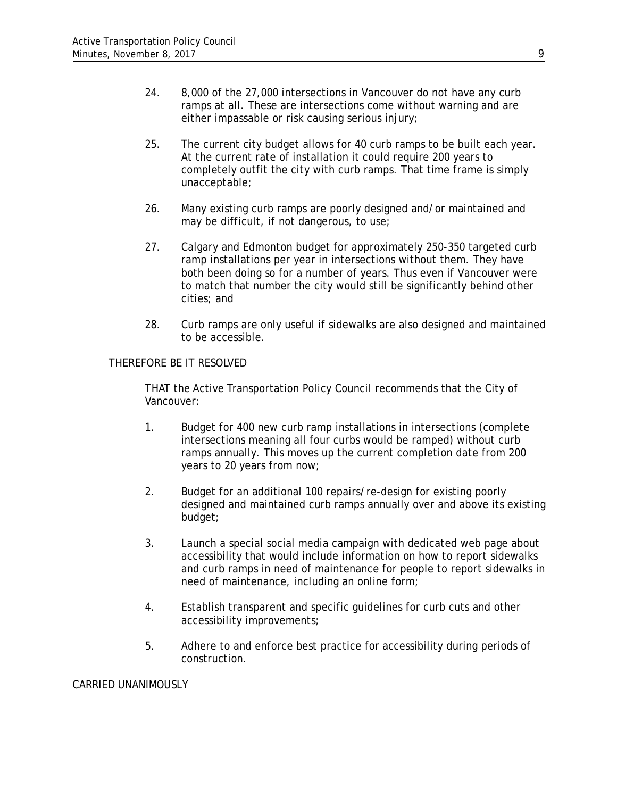- 24. 8,000 of the 27,000 intersections in Vancouver do not have any curb ramps at all. These are intersections come without warning and are either impassable or risk causing serious injury;
- 25. The current city budget allows for 40 curb ramps to be built each year. At the current rate of installation it could require 200 years to completely outfit the city with curb ramps. That time frame is simply unacceptable;
- 26. Many existing curb ramps are poorly designed and/or maintained and may be difficult, if not dangerous, to use;
- 27. Calgary and Edmonton budget for approximately 250-350 targeted curb ramp installations per year in intersections without them. They have both been doing so for a number of years. Thus even if Vancouver were to match that number the city would still be significantly behind other cities; and
- 28. Curb ramps are only useful if sidewalks are also designed and maintained to be accessible.

# THEREFORE BE IT RESOLVED

THAT the Active Transportation Policy Council recommends that the City of Vancouver:

- 1. Budget for 400 new curb ramp installations in intersections (complete intersections meaning all four curbs would be ramped) without curb ramps annually. This moves up the current completion date from 200 years to 20 years from now;
- 2. Budget for an additional 100 repairs/re-design for existing poorly designed and maintained curb ramps annually over and above its existing budget;
- 3. Launch a special social media campaign with dedicated web page about accessibility that would include information on how to report sidewalks and curb ramps in need of maintenance for people to report sidewalks in need of maintenance, including an online form;
- 4. Establish transparent and specific guidelines for curb cuts and other accessibility improvements;
- 5. Adhere to and enforce best practice for accessibility during periods of construction.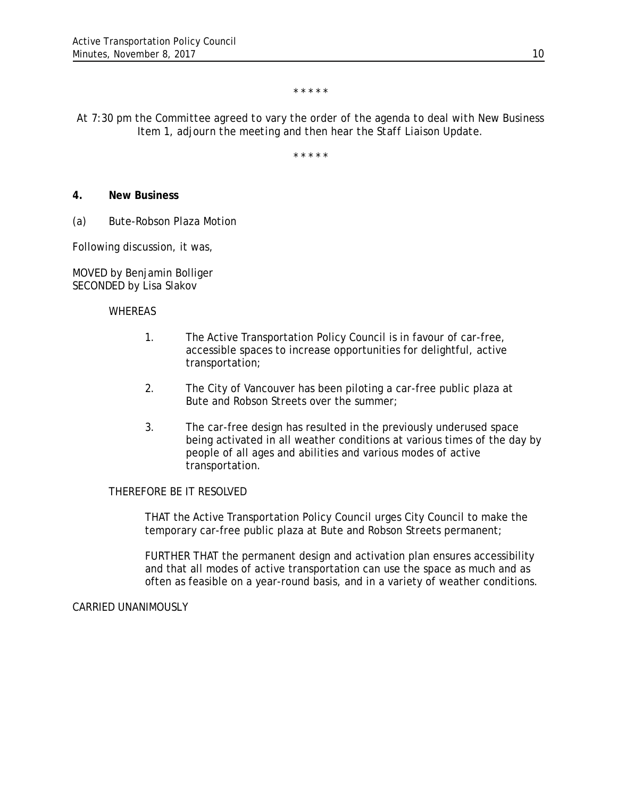*\* \* \* \* \**

*At 7:30 pm the Committee agreed to vary the order of the agenda to deal with New Business Item 1, adjourn the meeting and then hear the Staff Liaison Update.*

*\* \* \* \* \**

# **4. New Business**

(a) Bute-Robson Plaza Motion

Following discussion, it was,

MOVED by Benjamin Bolliger SECONDED by Lisa Slakov

#### WHEREAS

- 1. The Active Transportation Policy Council is in favour of car-free, accessible spaces to increase opportunities for delightful, active transportation;
- 2. The City of Vancouver has been piloting a car-free public plaza at Bute and Robson Streets over the summer;
- 3. The car-free design has resulted in the previously underused space being activated in all weather conditions at various times of the day by people of all ages and abilities and various modes of active transportation.

#### THEREFORE BE IT RESOLVED

THAT the Active Transportation Policy Council urges City Council to make the temporary car-free public plaza at Bute and Robson Streets permanent;

FURTHER THAT the permanent design and activation plan ensures accessibility and that all modes of active transportation can use the space as much and as often as feasible on a year-round basis, and in a variety of weather conditions.